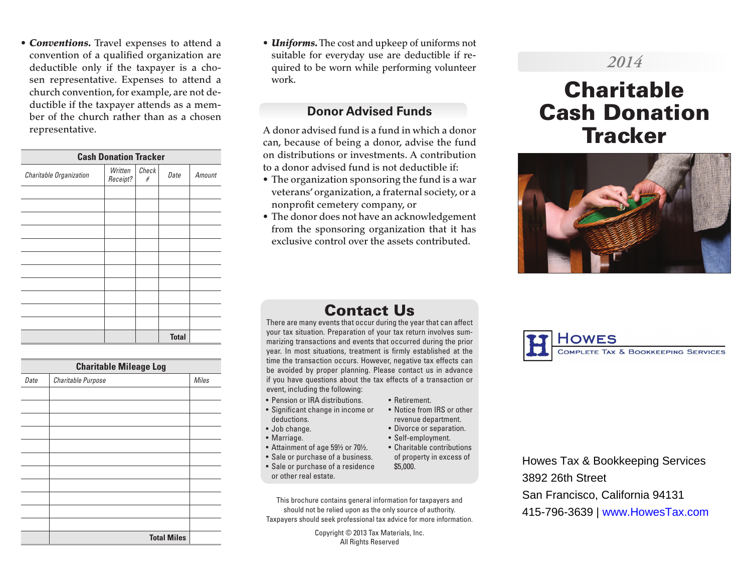• *Conventions.* Travel expenses to attend a convention of a qualified organization are deductible only if the taxpayer is a chosen representative. Expenses to attend a church convention, for example, are not deductible if the taxpayer attends as a member of the church rather than as a chosen representative.

| <b>Cash Donation Tracker</b> |                     |            |              |        |
|------------------------------|---------------------|------------|--------------|--------|
| Charitable Organization      | Written<br>Receipt? | Check<br># | Date         | Amount |
|                              |                     |            |              |        |
|                              |                     |            |              |        |
|                              |                     |            |              |        |
|                              |                     |            |              |        |
|                              |                     |            |              |        |
|                              |                     |            |              |        |
|                              |                     |            |              |        |
|                              |                     |            |              |        |
|                              |                     |            |              |        |
|                              |                     |            |              |        |
|                              |                     |            | <b>Total</b> |        |

**Charitable Mileage Log** *Date Charitable Purpose Miles* **Total Miles**

• *Uniforms.* The cost and upkeep of uniforms not suitable for everyday use are deductible if required to be worn while performing volunteer work.

## **Donor Advised Funds**

A donor advised fund is a fund in which a donor can, because of being a donor, advise the fund on distributions or investments. A contribution to a donor advised fund is not deductible if:

- The organization sponsoring the fund is a war veterans' organization, a fraternal society, or a nonprofit cemetery company, or
- The donor does not have an acknowledgement from the sponsoring organization that it has exclusive control over the assets contributed.

## *2014*

# **Charitable** Cash Donation **Tracker**



## Contact Us

There are many events that occur during the year that can affect your tax situation. Preparation of your tax return involves summarizing transactions and events that occurred during the prior year. In most situations, treatment is firmly established at the time the transaction occurs. However, negative tax effects can be avoided by proper planning. Please contact us in advance if you have questions about the tax effects of a transaction or event, including the following:

• Retirement.

\$5,000.

• Notice from IRS or other revenue department. • Divorce or separation. • Self-employment.

of property in excess of

- Pension or IRA distributions.
- Significant change in income or deductions.
- Job change.
- Marriage.
- Attainment of age 59½ or 70½. • Charitable contributions
- Sale or purchase of a business. • Sale or purchase of a residence
- or other real estate.

This brochure contains general information for taxpayers and should not be relied upon as the only source of authority. Taxpayers should seek professional tax advice for more information.

> Copyright © 2013 Tax Materials, Inc. All Rights Reserved

OMPLETE TAX & BOOKKEEPING SERVICES

Howes Tax & Bookkeeping Services 3892 26th Street San Francisco, California 94131 415-796-3639 | www.HowesTax.com